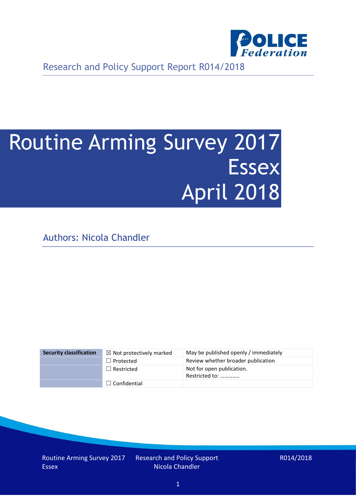

Research and Policy Support Report R014/2018

# Routine Arming Survey 2017 **Essex** April 2018

Authors: Nicola Chandler

| <b>Security classification</b> | $\boxtimes$ Not protectively marked | May be published openly / immediately       |
|--------------------------------|-------------------------------------|---------------------------------------------|
|                                | $\Box$ Protected                    | Review whether broader publication          |
|                                | $\Box$ Restricted                   | Not for open publication.<br>Restricted to: |
|                                | $\Box$ Confidential                 |                                             |

Routine Arming Survey 2017 Essex

Research and Policy Support Nicola Chandler

R014/2018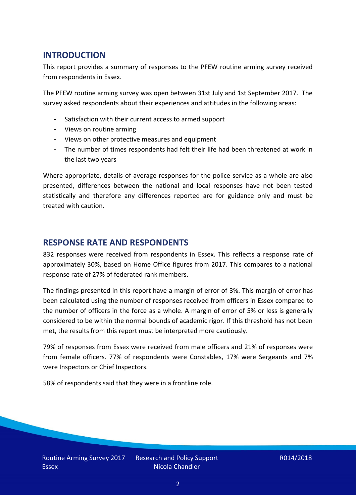## **INTRODUCTION**

This report provides a summary of responses to the PFEW routine arming survey received from respondents in Essex.

The PFEW routine arming survey was open between 31st July and 1st September 2017. The survey asked respondents about their experiences and attitudes in the following areas:

- Satisfaction with their current access to armed support
- Views on routine arming
- Views on other protective measures and equipment
- The number of times respondents had felt their life had been threatened at work in the last two years

Where appropriate, details of average responses for the police service as a whole are also presented, differences between the national and local responses have not been tested statistically and therefore any differences reported are for guidance only and must be treated with caution.

#### **RESPONSE RATE AND RESPONDENTS**

832 responses were received from respondents in Essex. This reflects a response rate of approximately 30%, based on Home Office figures from 2017. This compares to a national response rate of 27% of federated rank members.

The findings presented in this report have a margin of error of 3%. This margin of error has been calculated using the number of responses received from officers in Essex compared to the number of officers in the force as a whole. A margin of error of 5% or less is generally considered to be within the normal bounds of academic rigor. If this threshold has not been met, the results from this report must be interpreted more cautiously.

79% of responses from Essex were received from male officers and 21% of responses were from female officers. 77% of respondents were Constables, 17% were Sergeants and 7% were Inspectors or Chief Inspectors.

58% of respondents said that they were in a frontline role.

Research and Policy Support Nicola Chandler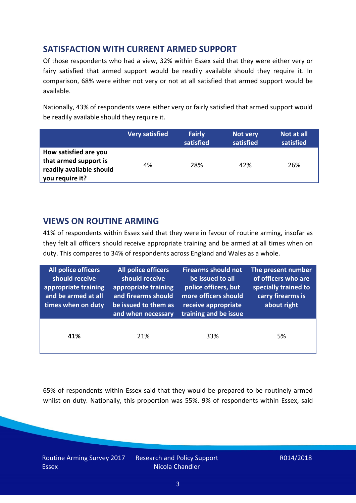# **SATISFACTION WITH CURRENT ARMED SUPPORT**

Of those respondents who had a view, 32% within Essex said that they were either very or fairy satisfied that armed support would be readily available should they require it. In comparison, 68% were either not very or not at all satisfied that armed support would be available.

Nationally, 43% of respondents were either very or fairly satisfied that armed support would be readily available should they require it.

|                                                                                               | <b>Very satisfied</b> | <b>Fairly</b><br>satisfied | Not very<br>satisfied | Not at all<br>satisfied |
|-----------------------------------------------------------------------------------------------|-----------------------|----------------------------|-----------------------|-------------------------|
| How satisfied are you<br>that armed support is<br>readily available should<br>you require it? | 4%                    | 28%                        | 42%                   | 26%                     |

### **VIEWS ON ROUTINE ARMING**

41% of respondents within Essex said that they were in favour of routine arming, insofar as they felt all officers should receive appropriate training and be armed at all times when on duty. This compares to 34% of respondents across England and Wales as a whole.

| All police officers<br>should receive<br>appropriate training<br>and be armed at all<br>times when on duty | All police officers<br>should receive<br>appropriate training<br>and firearms should<br>be issued to them as<br>and when necessary | <b>Firearms should not</b><br>be issued to all<br>police officers, but<br>more officers should<br>receive appropriate<br>training and be issue | The present number<br>of officers who are<br>specially trained to<br>carry firearms is<br>about right |  |
|------------------------------------------------------------------------------------------------------------|------------------------------------------------------------------------------------------------------------------------------------|------------------------------------------------------------------------------------------------------------------------------------------------|-------------------------------------------------------------------------------------------------------|--|
| 41%                                                                                                        | 21%                                                                                                                                | 33%                                                                                                                                            | 5%                                                                                                    |  |

65% of respondents within Essex said that they would be prepared to be routinely armed whilst on duty. Nationally, this proportion was 55%. 9% of respondents within Essex, said

Routine Arming Survey 2017 **Essex** 

Research and Policy Support Nicola Chandler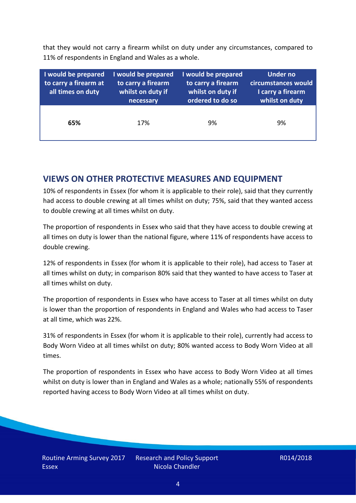that they would not carry a firearm whilst on duty under any circumstances, compared to 11% of respondents in England and Wales as a whole.

| I would be prepared<br>to carry a firearm at<br>all times on duty | I would be prepared<br>to carry a firearm<br>whilst on duty if<br>necessary | I would be prepared<br>to carry a firearm<br>whilst on duty if<br>ordered to do so | <b>Under no</b><br>circumstances would<br>I carry a firearm<br>whilst on duty |
|-------------------------------------------------------------------|-----------------------------------------------------------------------------|------------------------------------------------------------------------------------|-------------------------------------------------------------------------------|
| 65%                                                               | 17%                                                                         | 9%                                                                                 | 9%                                                                            |

### **VIEWS ON OTHER PROTECTIVE MEASURES AND EQUIPMENT**

10% of respondents in Essex (for whom it is applicable to their role), said that they currently had access to double crewing at all times whilst on duty; 75%, said that they wanted access to double crewing at all times whilst on duty.

The proportion of respondents in Essex who said that they have access to double crewing at all times on duty is lower than the national figure, where 11% of respondents have access to double crewing.

12% of respondents in Essex (for whom it is applicable to their role), had access to Taser at all times whilst on duty; in comparison 80% said that they wanted to have access to Taser at all times whilst on duty.

The proportion of respondents in Essex who have access to Taser at all times whilst on duty is lower than the proportion of respondents in England and Wales who had access to Taser at all time, which was 22%.

31% of respondents in Essex (for whom it is applicable to their role), currently had access to Body Worn Video at all times whilst on duty; 80% wanted access to Body Worn Video at all times.

The proportion of respondents in Essex who have access to Body Worn Video at all times whilst on duty is lower than in England and Wales as a whole; nationally 55% of respondents reported having access to Body Worn Video at all times whilst on duty.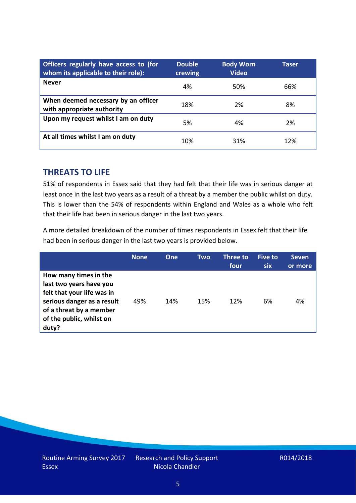| Officers regularly have access to (for<br>whom its applicable to their role): | <b>Double</b><br>crewing | <b>Body Worn</b><br><b>Video</b> | Taser |
|-------------------------------------------------------------------------------|--------------------------|----------------------------------|-------|
| <b>Never</b>                                                                  | 4%                       | 50%                              | 66%   |
| When deemed necessary by an officer<br>with appropriate authority             | 18%                      | 2%                               | 8%    |
| Upon my request whilst I am on duty                                           | 5%                       | 4%                               | 2%    |
| At all times whilst I am on duty                                              | 10%                      | 31%                              | 12%   |

#### **THREATS TO LIFE**

51% of respondents in Essex said that they had felt that their life was in serious danger at least once in the last two years as a result of a threat by a member the public whilst on duty. This is lower than the 54% of respondents within England and Wales as a whole who felt that their life had been in serious danger in the last two years.

A more detailed breakdown of the number of times respondents in Essex felt that their life had been in serious danger in the last two years is provided below.

|                                                                                                                                                                              | <b>None</b> | One | Two | Three to<br>four | Five to<br><b>six</b> | <b>Seven</b><br>or more |
|------------------------------------------------------------------------------------------------------------------------------------------------------------------------------|-------------|-----|-----|------------------|-----------------------|-------------------------|
| How many times in the<br>last two years have you<br>felt that your life was in<br>serious danger as a result<br>of a threat by a member<br>of the public, whilst on<br>duty? | 49%         | 14% | 15% | 12%              | 6%                    | 4%                      |

Research and Policy Support Nicola Chandler